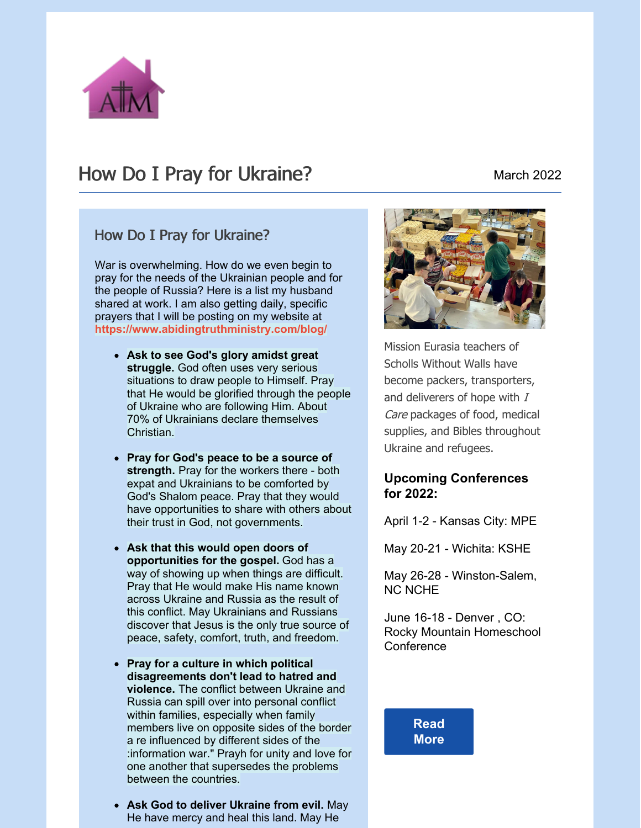

# How Do I Pray for Ukraine? March 2022

### How Do I Pray for Ukraine?

War is overwhelming. How do we even begin to pray for the needs of the Ukrainian people and for the people of Russia? Here is a list my husband shared at work. I am also getting daily, specific prayers that I will be posting on my website at **<https://www.abidingtruthministry.com/blog/>**

- **Ask to see God's glory amidst great struggle.** God often uses very serious situations to draw people to Himself. Pray that He would be glorified through the people of Ukraine who are following Him. About 70% of Ukrainians declare themselves Christian.
- **Pray for God's peace to be a source of** strength. Pray for the workers there - both expat and Ukrainians to be comforted by God's Shalom peace. Pray that they would have opportunities to share with others about their trust in God, not governments.
- **Ask that this would open doors of opportunities for the gospel.** God has a way of showing up when things are difficult. Pray that He would make His name known across Ukraine and Russia as the result of this conflict. May Ukrainians and Russians discover that Jesus is the only true source of peace, safety, comfort, truth, and freedom.
- **Pray for a culture in which political disagreements don't lead to hatred and violence.** The conflict between Ukraine and Russia can spill over into personal conflict within families, especially when family members live on opposite sides of the border a re influenced by different sides of the :information war." Prayh for unity and love for one another that supersedes the problems between the countries.
- **Ask God to deliver Ukraine from evil.** May He have mercy and heal this land. May He



Mission Eurasia teachers of Scholls Without Walls have become packers, transporters, and deliverers of hope with  $I$ Care packages of food, medical supplies, and Bibles throughout Ukraine and refugees.

#### **Upcoming Conferences for 2022:**

April 1-2 - Kansas City: MPE

May 20-21 - Wichita: KSHE

May 26-28 - Winston-Salem, NC NCHE

June 16-18 - Denver , CO: Rocky Mountain Homeschool **Conference** 

> **[Read](https://capincrouse.com/remind-donors-special-charitable-tax-benefit-available-december-31/) More**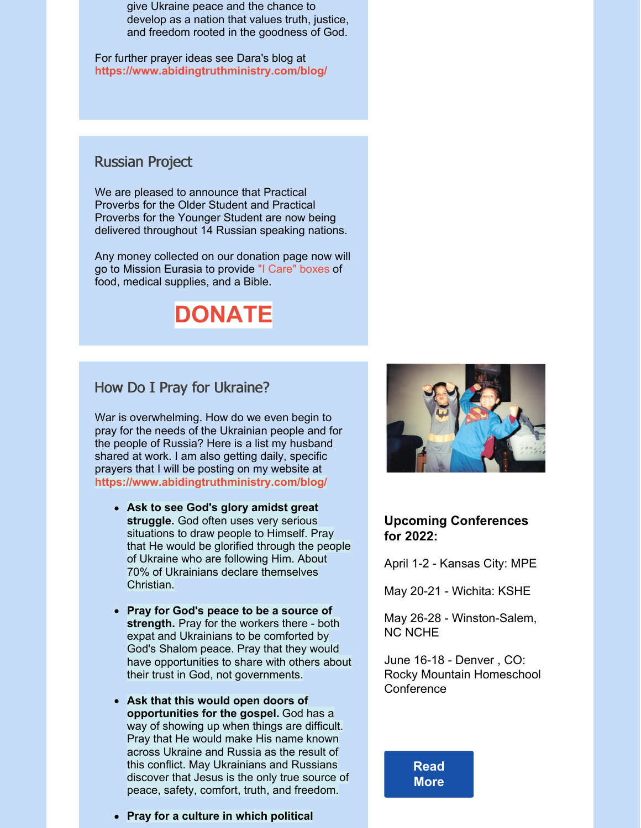give Ukraine peace and the chance to develop as a nation that values truth, justice, and freedom rooted in the goodness of God.

For further prayer ideas see Dara's blog at **<https://www.abidingtruthministry.com/blog/>**

#### Russian Project

We are pleased to announce that Practical Proverbs for the Older Student and Practical Proverbs for the Younger Student are now being delivered throughout 14 Russian speaking nations.

Any money collected on our donation page now will go to Mission Eurasia to provide "I Care" boxes of food, medical supplies, and a Bible.



#### How Do I Pray for Ukraine?

War is overwhelming. How do we even begin to pray for the needs of the Ukrainian people and for the people of Russia? Here is a list my husband shared at work. I am also getting daily, specific prayers that I will be posting on my website at **<https://www.abidingtruthministry.com/blog/>**

- **Ask to see God's glory amidst great struggle.** God often uses very serious situations to draw people to Himself. Pray that He would be glorified through the people of Ukraine who are following Him. About 70% of Ukrainians declare themselves Christian.
- **Pray for God's peace to be a source of strength.** Pray for the workers there - both expat and Ukrainians to be comforted by God's Shalom peace. Pray that they would have opportunities to share with others about their trust in God, not governments.
- **Ask that this would open doors of opportunities for the gospel.** God has a way of showing up when things are difficult. Pray that He would make His name known across Ukraine and Russia as the result of this conflict. May Ukrainians and Russians discover that Jesus is the only true source of peace, safety, comfort, truth, and freedom.
- **Pray for a culture in which political**



#### **Upcoming Conferences for 2022:**

April 1-2 - Kansas City: MPE

May 20-21 - Wichita: KSHE

May 26-28 - Winston-Salem, NC NCHE

June 16-18 - Denver , CO: Rocky Mountain Homeschool **Conference** 

> **[Read](https://capincrouse.com/remind-donors-special-charitable-tax-benefit-available-december-31/) More**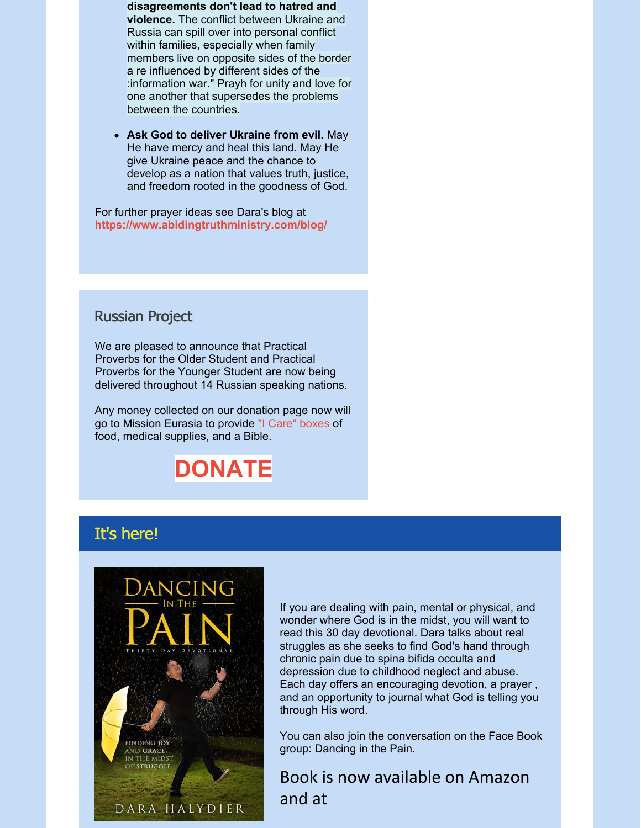**disagreements don't lead to hatred and violence.** The conflict between Ukraine and Russia can spill over into personal conflict within families, especially when family members live on opposite sides of the border a re influenced by different sides of the :information war." Prayh for unity and love for one another that supersedes the problems between the countries.

**Ask God to deliver Ukraine from evil.** May He have mercy and heal this land. May He give Ukraine peace and the chance to develop as a nation that values truth, justice, and freedom rooted in the goodness of God.

For further prayer ideas see Dara's blog at **<https://www.abidingtruthministry.com/blog/>**

#### Russian Project

We are pleased to announce that Practical Proverbs for the Older Student and Practical Proverbs for the Younger Student are now being delivered throughout 14 Russian speaking nations.

Any money collected on our donation page now will go to Mission Eurasia to provide "I Care" boxes of food, medical supplies, and a Bible.

# **[DONATE](https://www.abidingtruthministry.com/product/donate/)**

## It's here!



If you are dealing with pain, mental or physical, and wonder where God is in the midst, you will want to read this 30 day devotional. Dara talks about real struggles as she seeks to find God's hand through chronic pain due to spina bifida occulta and depression due to childhood neglect and abuse. Each day offers an encouraging devotion, a prayer , and an opportunity to journal what God is telling you through His word.

You can also join the conversation on the Face Book group: Dancing in the Pain.

# Book is now available on Amazon and at